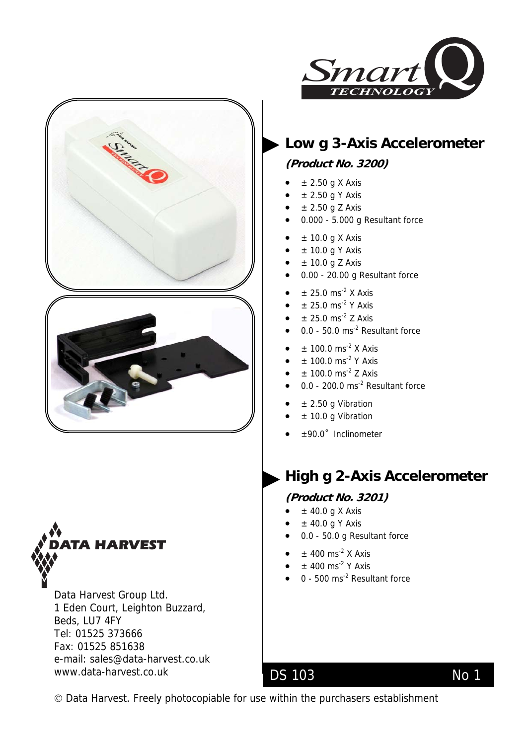







Data Harvest Group Ltd. 1 Eden Court, Leighton Buzzard, Beds, LU7 4FY Tel: 01525 373666 Fax: 01525 851638 e-mail: [sales@data-harvest.co.uk](mailto:sales@data-harvest.co.uk)  www.data-harvest.co.uk

# **Low g 3-Axis Accelerometer**

### **(Product No. 3200)**

- $\pm$  2.50 g X Axis
- $\pm$  2.50 g Y Axis
- $\pm$  2.50 g Z Axis
- 0.000 5.000 g Resultant force
- $\bullet$   $\pm$  10.0 g X Axis
- $\pm$  10.0 g Y Axis
- $\bullet$   $\pm$  10.0 g Z Axis
- 0.00 20.00 g Resultant force
- $\bullet$  ± 25.0 ms<sup>-2</sup> X Axis
- $\pm$  25.0 ms<sup>-2</sup> Y Axis
- $\pm$  25.0 ms<sup>-2</sup> Z Axis
- 0.0 50.0 ms<sup>-2</sup> Resultant force
- $\pm$  100.0 ms<sup>-2</sup> X Axis
- $\pm$  100.0 ms<sup>-2</sup> Y Axis
- $\pm$  100.0 ms<sup>-2</sup> Z Axis
- $0.0 200.0$  ms<sup>-2</sup> Resultant force
- $\bullet$  ± 2.50 g Vibration
- ± 10.0 g Vibration
- ±90.0˚ Inclinometer

# **High g 2-Axis Accelerometer**

#### **(Product No. 3201)**

- $\pm$  40.0 g X Axis
- $\bullet$   $\pm$  40.0 g Y Axis
- 0.0 50.0 g Resultant force
- $\bullet$   $\pm$  400 ms<sup>-2</sup> X Axis
- $\pm$  400 ms<sup>-2</sup> Y Axis
- $\bullet$  0 500 ms<sup>-2</sup> Resultant force

© Data Harvest. Freely photocopiable for use within the purchasers establishment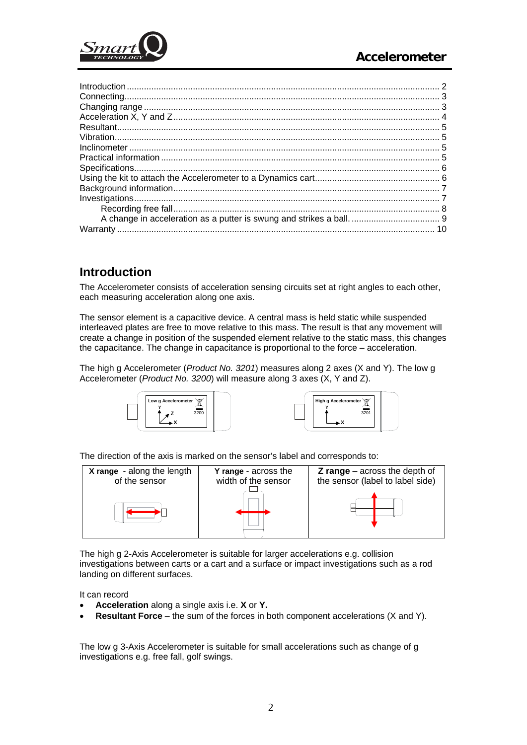<span id="page-1-0"></span>

### **Introduction**

The Accelerometer consists of acceleration sensing circuits set at right angles to each other, each measuring acceleration along one axis.

The sensor element is a capacitive device. A central mass is held static while suspended interleaved plates are free to move relative to this mass. The result is that any movement will create a change in position of the suspended element relative to the static mass, this changes the capacitance. The change in capacitance is proportional to the force – acceleration.

The high g Accelerometer (*Product No. 3201*) measures along 2 axes (X and Y). The low g Accelerometer (*Product No. 3200*) will measure along 3 axes (X, Y and Z).





The direction of the axis is marked on the sensor's label and corresponds to:



The high g 2-Axis Accelerometer is suitable for larger accelerations e.g. collision investigations between carts or a cart and a surface or impact investigations such as a rod landing on different surfaces.

It can record

- **Acceleration** along a single axis i.e. **X** or **Y.**
- **Resultant Force** the sum of the forces in both component accelerations (X and Y).

The low g 3-Axis Accelerometer is suitable for small accelerations such as change of g investigations e.g. free fall, golf swings.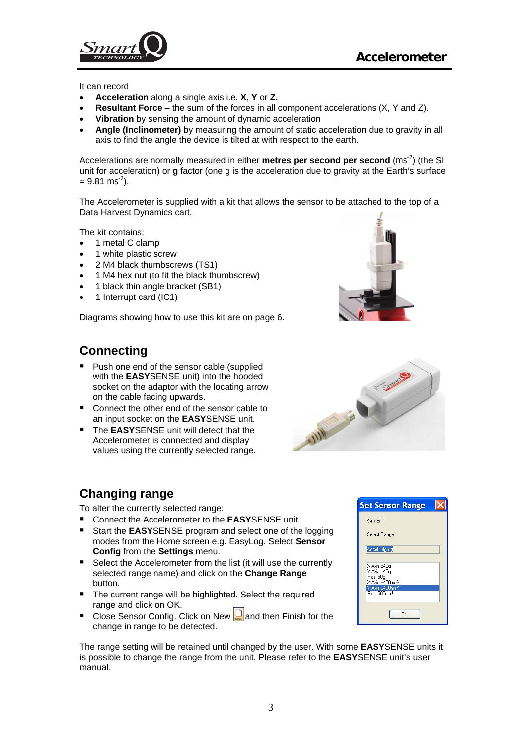<span id="page-2-0"></span>

It can record

- **Acceleration** along a single axis i.e. **X**, **Y** or **Z.**
- **Resultant Force** the sum of the forces in all component accelerations (X, Y and Z).
- **Vibration** by sensing the amount of dynamic acceleration
- **Angle (Inclinometer)** by measuring the amount of static acceleration due to gravity in all axis to find the angle the device is tilted at with respect to the earth.

Accelerations are normally measured in either **metres per second per second** (ms<sup>-2</sup>) (the SI unit for acceleration) or **g** factor (one g is the acceleration due to gravity at the Earth's surface  $= 9.81$  ms<sup>-2</sup>).

The Accelerometer is supplied with a kit that allows the sensor to be attached to the top of a Data Harvest Dynamics cart.

The kit contains:

- 1 metal C clamp
- 1 white plastic screw
- 2 M4 black thumbscrews (TS1)
- 1 M4 hex nut (to fit the black thumbscrew)
- 1 black thin angle bracket (SB1)
- 1 Interrupt card (IC1)

Diagrams showing how to use this kit are on page 6.

### **Connecting**

- Push one end of the sensor cable (supplied with the **EASY**SENSE unit) into the hooded socket on the adaptor with the locating arrow on the cable facing upwards.
- Connect the other end of the sensor cable to an input socket on the **EASY**SENSE unit.
- The **EASY**SENSE unit will detect that the Accelerometer is connected and display values using the currently selected range.

#### **Changing range**

To alter the currently selected range:

- Connect the Accelerometer to the **FASY**SENSE unit.
- Start the **EASY**SENSE program and select one of the logging modes from the Home screen e.g. EasyLog. Select **Sensor Config** from the **Settings** menu.
- Select the Accelerometer from the list (it will use the currently selected range name) and click on the **Change Range** button.
- The current range will be highlighted. Select the required range and click on OK.
- Close Sensor Config. Click on New  $\Box$  and then Finish for the change in range to be detected.

The range setting will be retained until changed by the user. With some **EASY**SENSE units it is possible to change the range from the unit. Please refer to the **EASY**SENSE unit's user manual.





| Sensor 1                                                             |  |
|----------------------------------------------------------------------|--|
| Select Range:                                                        |  |
| Accel, high g                                                        |  |
| X Axis ±40g<br>Y Axis ±40g<br>Res. 50g<br>X Axis ±400ms <sup>2</sup> |  |
| Y Axis ±400ms <sup>2</sup><br>Res. 500ms <sup>2</sup>                |  |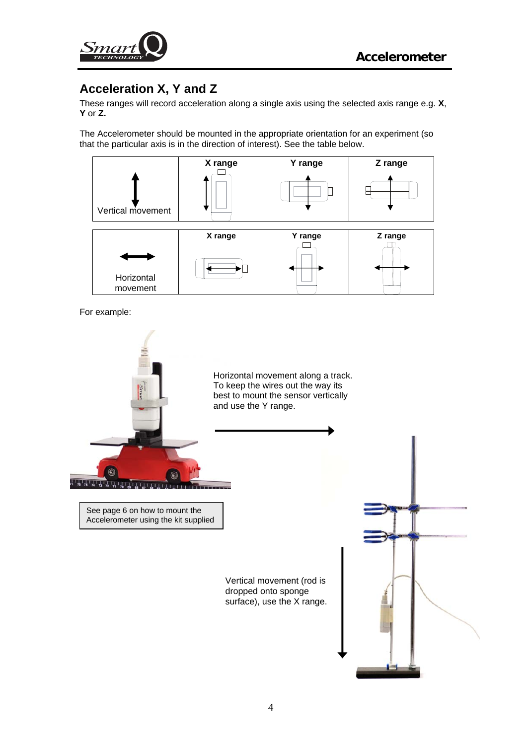<span id="page-3-0"></span>

# **Acceleration X, Y and Z**

These ranges will record acceleration along a single axis using the selected axis range e.g. **X**, **Y** or **Z.** 

The Accelerometer should be mounted in the appropriate orientation for an experiment (so that the particular axis is in the direction of interest). See the table below.



For example:

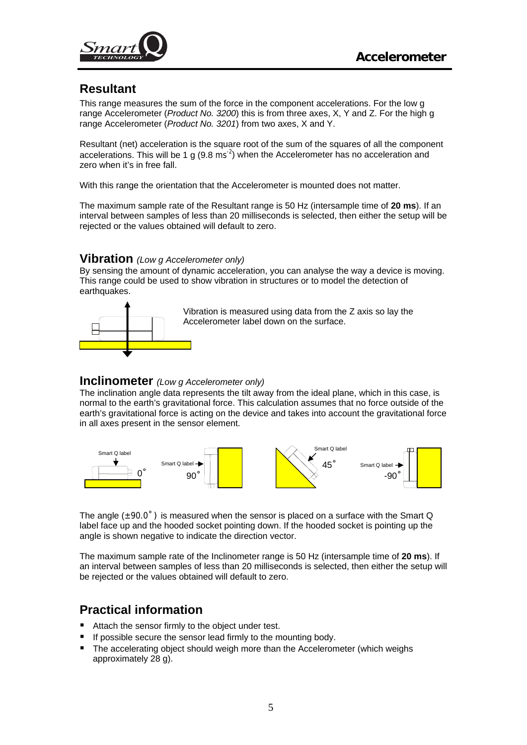<span id="page-4-0"></span>

### **Resultant**

This range measures the sum of the force in the component accelerations. For the low g range Accelerometer (*Product No. 3200*) this is from three axes, X, Y and Z. For the high g range Accelerometer (*Product No. 3201*) from two axes, X and Y.

Resultant (net) acceleration is the square root of the sum of the squares of all the component accelerations. This will be 1 g  $(9.8 \text{ ms}^{-2})$  when the Accelerometer has no acceleration and zero when it's in free fall.

With this range the orientation that the Accelerometer is mounted does not matter.

The maximum sample rate of the Resultant range is 50 Hz (intersample time of **20 ms**). If an interval between samples of less than 20 milliseconds is selected, then either the setup will be rejected or the values obtained will default to zero.

#### **Vibration** *(Low g Accelerometer only)*

By sensing the amount of dynamic acceleration, you can analyse the way a device is moving. This range could be used to show vibration in structures or to model the detection of earthquakes.



Vibration is measured using data from the Z axis so lay the Accelerometer label down on the surface.

#### **Inclinometer** *(Low g Accelerometer only)*

The inclination angle data represents the tilt away from the ideal plane, which in this case, is normal to the earth's gravitational force. This calculation assumes that no force outside of the earth's gravitational force is acting on the device and takes into account the gravitational force in all axes present in the sensor element.



The angle  $(\pm 90.0^{\circ})$  is measured when the sensor is placed on a surface with the Smart Q label face up and the hooded socket pointing down. If the hooded socket is pointing up the angle is shown negative to indicate the direction vector.

The maximum sample rate of the Inclinometer range is 50 Hz (intersample time of **20 ms**). If an interval between samples of less than 20 milliseconds is selected, then either the setup will be rejected or the values obtained will default to zero.

### **Practical information**

- Attach the sensor firmly to the object under test.
- If possible secure the sensor lead firmly to the mounting body.
- The accelerating object should weigh more than the Accelerometer (which weighs approximately 28 g).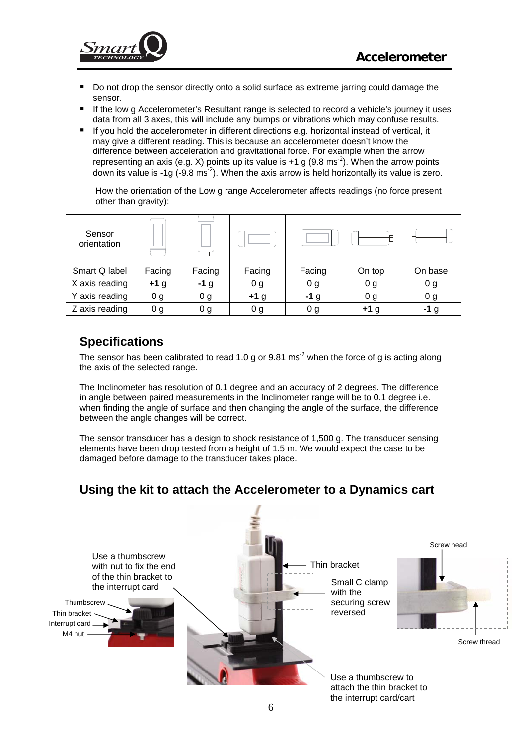<span id="page-5-0"></span>

- Do not drop the sensor directly onto a solid surface as extreme jarring could damage the sensor.
- If the low g Accelerometer's Resultant range is selected to record a vehicle's journey it uses data from all 3 axes, this will include any bumps or vibrations which may confuse results.
- If you hold the accelerometer in different directions e.g. horizontal instead of vertical, it may give a different reading. This is because an accelerometer doesn't know the difference between acceleration and gravitational force. For example when the arrow representing an axis (e.g. X) points up its value is  $+1$  g (9.8 ms<sup>-2</sup>). When the arrow points down its value is -1g (-9.8 ms<sup>-2</sup>). When the axis arrow is held horizontally its value is zero.

How the orientation of the Low g range Accelerometer affects readings (no force present other than gravity):

| Sensor<br>orientation |                |        |                |                |                |                |
|-----------------------|----------------|--------|----------------|----------------|----------------|----------------|
| Smart Q label         | Facing         | Facing | Facing         | Facing         | On top         | On base        |
| X axis reading        | $+1$ g         | $-1g$  | 0 <sub>g</sub> | 0 <sub>g</sub> | 0 <sub>g</sub> | 0 <sub>g</sub> |
| Y axis reading        | 0 <sub>g</sub> | 0 g    | $+1g$          | $-1g$          | 0 <sub>g</sub> | 0 <sub>g</sub> |
| Z axis reading        | 0 g            | 0 g    | 0 g            | 0 <sub>g</sub> | $+1$ g         | -1 g           |

# **Specifications**

The sensor has been calibrated to read 1.0 g or  $9.81 \text{ ms}^{-2}$  when the force of g is acting along the axis of the selected range.

The Inclinometer has resolution of 0.1 degree and an accuracy of 2 degrees. The difference in angle between paired measurements in the Inclinometer range will be to 0.1 degree i.e. when finding the angle of surface and then changing the angle of the surface, the difference between the angle changes will be correct.

The sensor transducer has a design to shock resistance of 1,500 g. The transducer sensing elements have been drop tested from a height of 1.5 m. We would expect the case to be damaged before damage to the transducer takes place.

# **Using the kit to attach the Accelerometer to a Dynamics cart**

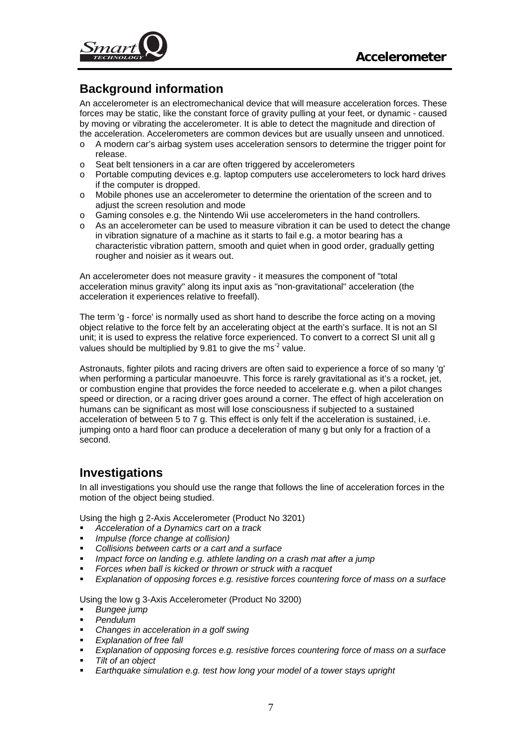<span id="page-6-0"></span>

# **Background information**

An accelerometer is an electromechanical device that will measure acceleration forces. These forces may be static, like the constant force of gravity pulling at your feet, or dynamic - caused by moving or vibrating the accelerometer. It is able to detect the magnitude and direction of the acceleration. Accelerometers are common devices but are usually unseen and unnoticed.

- o A modern car's airbag system uses acceleration sensors to determine the trigger point for release.
- o Seat belt tensioners in a car are often triggered by accelerometers
- o Portable computing devices e.g. laptop computers use accelerometers to lock hard drives if the computer is dropped.
- o Mobile phones use an accelerometer to determine the orientation of the screen and to adjust the screen resolution and mode
- o Gaming consoles e.g. the Nintendo Wii use accelerometers in the hand controllers.
- o As an accelerometer can be used to measure vibration it can be used to detect the change in vibration signature of a machine as it starts to fail e.g. a motor bearing has a characteristic vibration pattern, smooth and quiet when in good order, gradually getting rougher and noisier as it wears out.

An accelerometer does not measure gravity - it measures the component of "total acceleration minus gravity" along its input axis as "non-gravitational" acceleration (the [acceleration](http://en.wikipedia.org/wiki/Acceleration) it experiences relative to freefall).

The term 'g - force' is normally used as short hand to describe the force acting on a moving object relative to the force felt by an accelerating object at the earth's surface. It is not an SI unit; it is used to express the relative force experienced. To convert to a correct SI unit all g values should be multiplied by 9.81 to give the ms<sup>-2</sup> value.

Astronauts, fighter pilots and racing drivers are often said to experience a force of so many 'g' when performing a particular manoeuvre. This force is rarely gravitational as it's a rocket, jet, or combustion engine that provides the force needed to accelerate e.g. when a pilot changes speed or direction, or a racing driver goes around a corner. The effect of high acceleration on humans can be significant as most will lose consciousness if subjected to a sustained acceleration of between 5 to 7 g. This effect is only felt if the acceleration is sustained, i.e. jumping onto a hard floor can produce a deceleration of many g but only for a fraction of a second.

# **Investigations**

In all investigations you should use the range that follows the line of acceleration forces in the motion of the object being studied.

Using the high g 2-Axis Accelerometer (Product No 3201)

- *Acceleration of a Dynamics cart on a track*
- *Impulse (force change at collision)*
- *Collisions between carts or a cart and a surface*
- *Impact force on landing e.g. athlete landing on a crash mat after a jump*
- *Forces when ball is kicked or thrown or struck with a racquet*
- *Explanation of opposing forces e.g. resistive forces countering force of mass on a surface*

Using the low g 3-Axis Accelerometer (Product No 3200)

- *Bungee jump*
- *Pendulum*
- *Changes in acceleration in a golf swing*
- *Explanation of free fall*
- *Explanation of opposing forces e.g. resistive forces countering force of mass on a surface*
- *Tilt of an object*
- *Earthquake simulation e.g. test how long your model of a tower stays upright*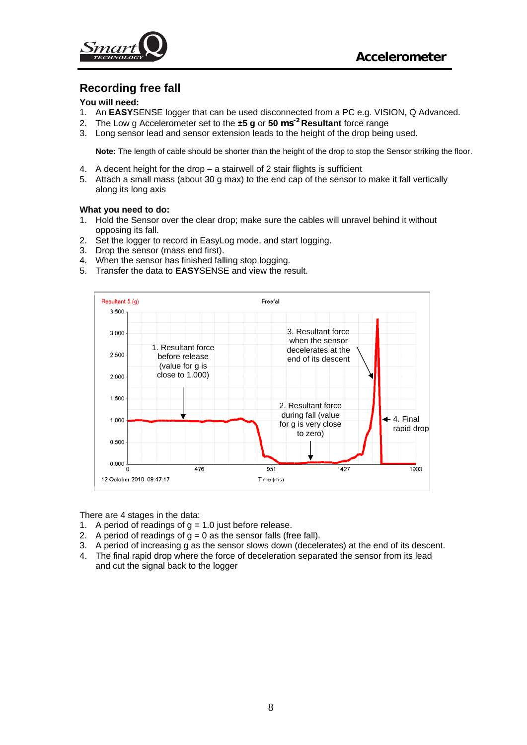<span id="page-7-0"></span>

### **Recording free fall**

#### **You will need:**

- 1. An **EASY**SENSE logger that can be used disconnected from a PC e.g. VISION, Q Advanced.
- 2. The Low g Accelerometer set to the **±5 g** or **50 ms-2 Resultant** force range
- 3. Long sensor lead and sensor extension leads to the height of the drop being used.

**Note:** The length of cable should be shorter than the height of the drop to stop the Sensor striking the floor.

- 4. A decent height for the drop a stairwell of 2 stair flights is sufficient
- 5. Attach a small mass (about 30 g max) to the end cap of the sensor to make it fall vertically along its long axis

#### **What you need to do:**

- 1. Hold the Sensor over the clear drop; make sure the cables will unravel behind it without opposing its fall.
- 2. Set the logger to record in EasyLog mode, and start logging.
- 3. Drop the sensor (mass end first).
- 4. When the sensor has finished falling stop logging.
- 5. Transfer the data to **EASY**SENSE and view the result.



There are 4 stages in the data:

- 1. A period of readings of  $g = 1.0$  just before release.
- 2. A period of readings of  $g = 0$  as the sensor falls (free fall).
- 3. A period of increasing g as the sensor slows down (decelerates) at the end of its descent.
- 4. The final rapid drop where the force of deceleration separated the sensor from its lead and cut the signal back to the logger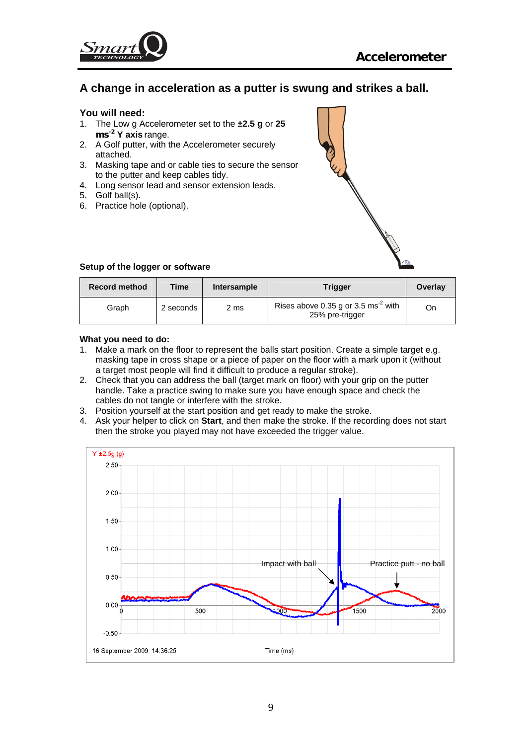<span id="page-8-0"></span>

### **A change in acceleration as a putter is swung and strikes a ball.**

#### **You will need:**

- 1. The Low g Accelerometer set to the **±2.5 g** or **25 ms-2 Y axis** range.
- 2. A Golf putter, with the Accelerometer securely attached.
- 3. Masking tape and or cable ties to secure the sensor to the putter and keep cables tidy.
- 4. Long sensor lead and sensor extension leads.
- 5. Golf ball(s).
- 6. Practice hole (optional).



#### **Setup of the logger or software**

| <b>Record method</b> | Time      | Intersample | Trigger                                                            | Overlay |
|----------------------|-----------|-------------|--------------------------------------------------------------------|---------|
| Graph                | 2 seconds | 2 ms        | Rises above 0.35 g or 3.5 ms <sup>-2</sup> with<br>25% pre-trigger | On      |

#### **What you need to do:**

- 1. Make a mark on the floor to represent the balls start position. Create a simple target e.g. masking tape in cross shape or a piece of paper on the floor with a mark upon it (without a target most people will find it difficult to produce a regular stroke).
- 2. Check that you can address the ball (target mark on floor) with your grip on the putter handle. Take a practice swing to make sure you have enough space and check the cables do not tangle or interfere with the stroke.
- 3. Position yourself at the start position and get ready to make the stroke.
- 4. Ask your helper to click on **Start**, and then make the stroke. If the recording does not start then the stroke you played may not have exceeded the trigger value.